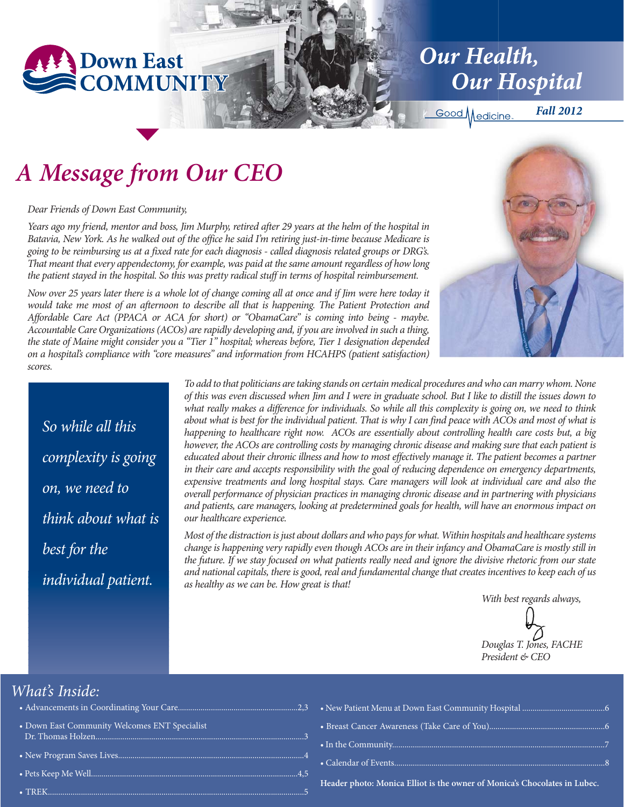

## **Our Health, Our Hospital**

Good Medicine

*Fall 2012*

# *A Message from Our CEO*

*Dear Friends of Down East Community,*

*Years ago my friend, mentor and boss, Jim Murphy, retired after 29 years at the helm of the hospital in Batavia, New York. As he walked out of the office he said I'm retiring just-in-time because Medicare is going to be reimbursing us at a fixed rate for each diagnosis - called diagnosis related groups or DRG's. That meant that every appendectomy, for example, was paid at the same amount regardless of how long the patient stayed in the hospital. So this was pretty radical stuff in terms of hospital reimbursement.*

*Now over 25 years later there is a whole lot of change coming all at once and if Jim were here today it would take me most of an afternoon to describe all that is happening. The Patient Protection and Affordable Care Act (PPACA or ACA for short) or "ObamaCare" is coming into being - maybe. Accountable Care Organizations (ACOs) are rapidly developing and, if you are involved in such a thing, the state of Maine might consider you a "Tier 1" hospital; whereas before, Tier 1 designation depended on a hospital's compliance with "core measures" and information from HCAHPS (patient satisfaction) scores.*



*To add to that politicians are taking stands on certain medical procedures and who can marry whom. None of this was even discussed when Jim and I were in graduate school. But I like to distill the issues down to what really makes a difference for individuals. So while all this complexity is going on, we need to think about what is best for the individual patient. That is why I can find peace with ACOs and most of what is happening to healthcare right now. ACOs are essentially about controlling health care costs but, a big however, the ACOs are controlling costs by managing chronic disease and making sure that each patient is educated about their chronic illness and how to most effectively manage it. The patient becomes a partner in their care and accepts responsibility with the goal of reducing dependence on emergency departments, expensive treatments and long hospital stays. Care managers will look at individual care and also the overall performance of physician practices in managing chronic disease and in partnering with physicians and patients, care managers, looking at predetermined goals for health, will have an enormous impact on our healthcare experience.*

*Most of the distraction is just about dollars and who pays for what. Within hospitals and healthcare systems change is happening very rapidly even though ACOs are in their infancy and ObamaCare is mostly still in the future. If we stay focused on what patients really need and ignore the divisive rhetoric from our state and national capitals, there is good, real and fundamental change that creates incentives to keep each of us as healthy as we can be. How great is that!* 

*With best regards always,*

*Douglas T. Jones, FACHE President & CEO*

#### *What's Inside:*

- Advancements in Coordinating Your Care..........................................................2,3
- Down East Community Welcomes ENT Specialist Dr. Thomas Holzen.....................................................................................................3
- New Program Saves Lives..........................................................................................4
- Pets Keep Me Well....................................................................................................4,5
- TREK............................................................................................................................5

**Header photo: Monica Elliot is the owner of Monica's Chocolates in Lubec.**

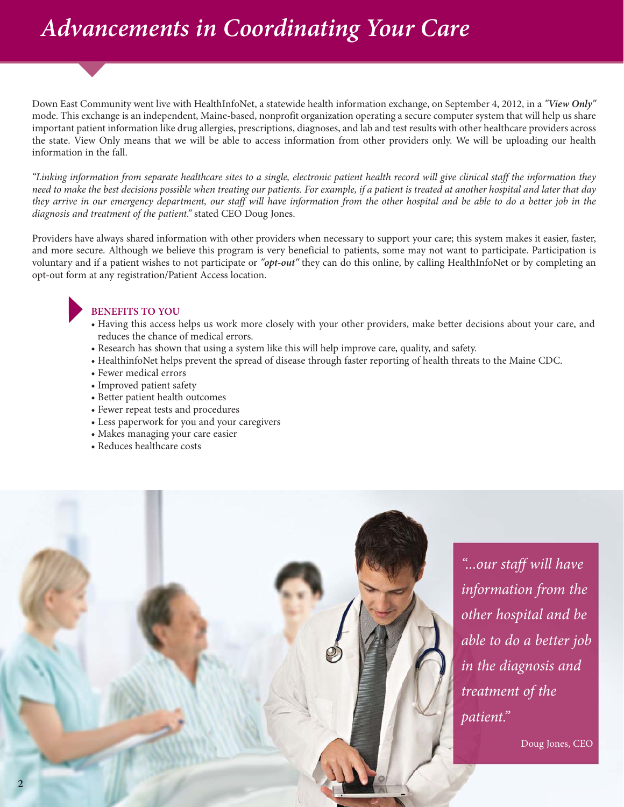# *Advancements in Coordinating Your Care*

Down East Community went live with HealthInfoNet, a statewide health information exchange, on September 4, 2012, in a *"View Only"* mode. This exchange is an independent, Maine-based, nonprofit organization operating a secure computer system that will help us share important patient information like drug allergies, prescriptions, diagnoses, and lab and test results with other healthcare providers across the state. View Only means that we will be able to access information from other providers only. We will be uploading our health information in the fall.

*"Linking information from separate healthcare sites to a single, electronic patient health record will give clinical staff the information they need to make the best decisions possible when treating our patients. For example, if a patient is treated at another hospital and later that day they arrive in our emergency department, our staff will have information from the other hospital and be able to do a better job in the diagnosis and treatment of the patient."* stated CEO Doug Jones.

Providers have always shared information with other providers when necessary to support your care; this system makes it easier, faster, and more secure. Although we believe this program is very beneficial to patients, some may not want to participate. Participation is voluntary and if a patient wishes to not participate or *"opt-out"* they can do this online, by calling HealthInfoNet or by completing an opt-out form at any registration/Patient Access location.



#### **BENEFITS TO YOU**

- Having this access helps us work more closely with your other providers, make better decisions about your care, and reduces the chance of medical errors.
- Research has shown that using a system like this will help improve care, quality, and safety.
- HealthinfoNet helps prevent the spread of disease through faster reporting of health threats to the Maine CDC.
- Fewer medical errors
- Improved patient safety
- Better patient health outcomes
- Fewer repeat tests and procedures
- Less paperwork for you and your caregivers
- Makes managing your care easier
- Reduces healthcare costs



*"...our staff will have information from the other hospital and be able to do a better job in the diagnosis and treatment of the patient."*

Doug Jones, CEO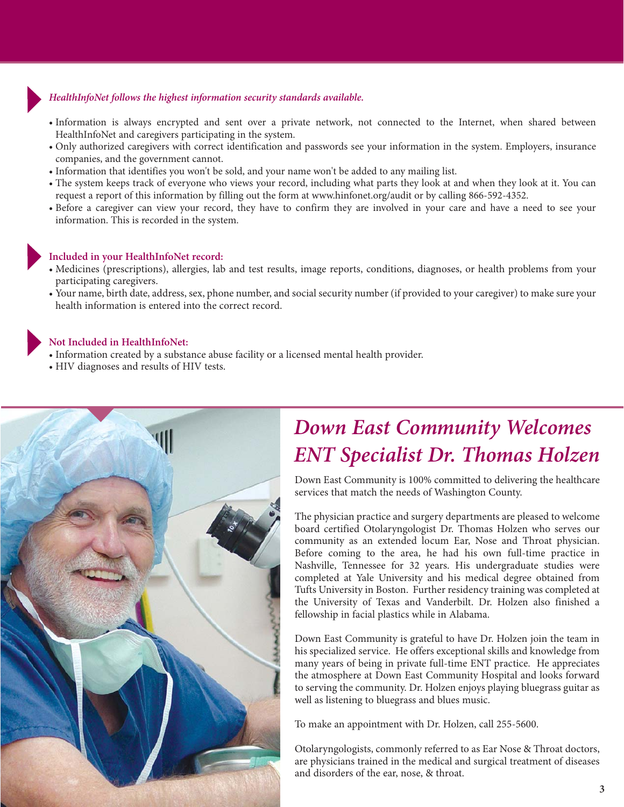#### *HealthInfoNet follows the highest information security standards available.*

- Information is always encrypted and sent over a private network, not connected to the Internet, when shared between HealthInfoNet and caregivers participating in the system.
- Only authorized caregivers with correct identification and passwords see your information in the system. Employers, insurance companies, and the government cannot.
- Information that identifies you won't be sold, and your name won't be added to any mailing list.
- The system keeps track of everyone who views your record, including what parts they look at and when they look at it. You can request a report of this information by filling out the form at www.hinfonet.org/audit or by calling 866-592-4352.
- Before a caregiver can view your record, they have to confirm they are involved in your care and have a need to see your information. This is recorded in the system.



#### **Included in your HealthInfoNet record:**

- Medicines (prescriptions), allergies, lab and test results, image reports, conditions, diagnoses, or health problems from your participating caregivers.
- Your name, birth date, address, sex, phone number, and social security number (if provided to your caregiver) to make sure your health information is entered into the correct record.

#### **Not Included in HealthInfoNet:**

- Information created by a substance abuse facility or a licensed mental health provider.
- HIV diagnoses and results of HIV tests.



## *Down East Community Welcomes ENT Specialist Dr. Thomas Holzen*

Down East Community is 100% committed to delivering the healthcare services that match the needs of Washington County.

The physician practice and surgery departments are pleased to welcome board certified Otolaryngologist Dr. Thomas Holzen who serves our community as an extended locum Ear, Nose and Throat physician. Before coming to the area, he had his own full-time practice in Nashville, Tennessee for 32 years. His undergraduate studies were completed at Yale University and his medical degree obtained from Tufts University in Boston. Further residency training was completed at the University of Texas and Vanderbilt. Dr. Holzen also finished a fellowship in facial plastics while in Alabama.

Down East Community is grateful to have Dr. Holzen join the team in his specialized service. He offers exceptional skills and knowledge from many years of being in private full-time ENT practice. He appreciates the atmosphere at Down East Community Hospital and looks forward to serving the community. Dr. Holzen enjoys playing bluegrass guitar as well as listening to bluegrass and blues music.

To make an appointment with Dr. Holzen, call 255-5600.

Otolaryngologists, commonly referred to as Ear Nose & Throat doctors, are physicians trained in the medical and surgical treatment of diseases and disorders of the ear, nose, & throat.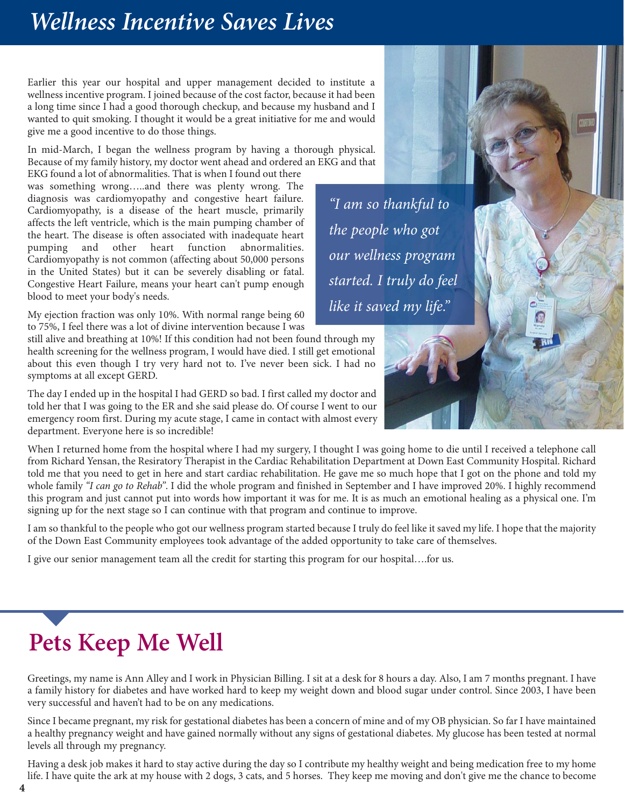## *Wellness Incentive Saves Lives*

Earlier this year our hospital and upper management decided to institute a wellness incentive program. I joined because of the cost factor, because it had been a long time since I had a good thorough checkup, and because my husband and I wanted to quit smoking. I thought it would be a great initiative for me and would give me a good incentive to do those things.

In mid-March, I began the wellness program by having a thorough physical. Because of my family history, my doctor went ahead and ordered an EKG and that

EKG found a lot of abnormalities. That is when I found out there was something wrong…..and there was plenty wrong. The diagnosis was cardiomyopathy and congestive heart failure. Cardiomyopathy, is a disease of the heart muscle, primarily affects the left ventricle, which is the main pumping chamber of the heart. The disease is often associated with inadequate heart pumping and other heart function abnormalities. Cardiomyopathy is not common (affecting about 50,000 persons in the United States) but it can be severely disabling or fatal. Congestive Heart Failure, means your heart can't pump enough blood to meet your body's needs.

My ejection fraction was only 10%. With normal range being 60 to 75%, I feel there was a lot of divine intervention because I was

still alive and breathing at 10%! If this condition had not been found through my health screening for the wellness program, I would have died. I still get emotional about this even though I try very hard not to. I've never been sick. I had no symptoms at all except GERD.

The day I ended up in the hospital I had GERD so bad. I first called my doctor and told her that I was going to the ER and she said please do. Of course I went to our emergency room first. During my acute stage, I came in contact with almost every department. Everyone here is so incredible!



When I returned home from the hospital where I had my surgery, I thought I was going home to die until I received a telephone call from Richard Yensan, the Resiratory Therapist in the Cardiac Rehabilitation Department at Down East Community Hospital. Richard told me that you need to get in here and start cardiac rehabilitation. He gave me so much hope that I got on the phone and told my whole family *"I can go to Rehab"*. I did the whole program and finished in September and I have improved 20%. I highly recommend this program and just cannot put into words how important it was for me. It is as much an emotional healing as a physical one. I'm signing up for the next stage so I can continue with that program and continue to improve.

I am so thankful to the people who got our wellness program started because I truly do feel like it saved my life. I hope that the majority of the Down East Community employees took advantage of the added opportunity to take care of themselves.

I give our senior management team all the credit for starting this program for our hospital….for us.

# **Pets Keep Me Well**

Greetings, my name is Ann Alley and I work in Physician Billing. I sit at a desk for 8 hours a day. Also, I am 7 months pregnant. I have a family history for diabetes and have worked hard to keep my weight down and blood sugar under control. Since 2003, I have been very successful and haven't had to be on any medications.

Since I became pregnant, my risk for gestational diabetes has been a concern of mine and of my OB physician. So far I have maintained a healthy pregnancy weight and have gained normally without any signs of gestational diabetes. My glucose has been tested at normal levels all through my pregnancy.

Having a desk job makes it hard to stay active during the day so I contribute my healthy weight and being medication free to my home life. I have quite the ark at my house with 2 dogs, 3 cats, and 5 horses. They keep me moving and don't give me the chance to become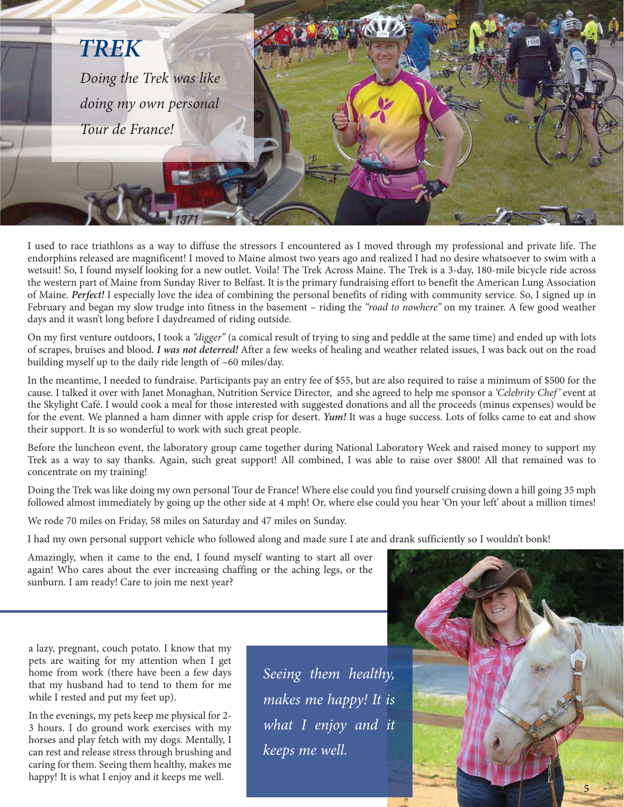*TREK Doing the Trek was like doing my own personal Tour de France!*

I used to race triathlons as a way to diffuse the stressors I encountered as I moved through my professional and private life. The endorphins released are magnificent! I moved to Maine almost two years ago and realized I had no desire whatsoever to swim with a wetsuit! So, I found myself looking for a new outlet. Voila! The Trek Across Maine. The Trek is a 3-day, 180-mile bicycle ride across the western part of Maine from Sunday River to Belfast. It is the primary fundraising effort to benefit the American Lung Association of Maine. *Perfect!* I especially love the idea of combining the personal benefits of riding with community service. So, I signed up in February and began my slow trudge into fitness in the basement – riding the *"road to nowhere"* on my trainer. A few good weather days and it wasn't long before I daydreamed of riding outside.

On my first venture outdoors, I took a *"digger"* (a comical result of trying to sing and peddle at the same time) and ended up with lots of scrapes, bruises and blood. *I was not deterred!* After a few weeks of healing and weather related issues, I was back out on the road building myself up to the daily ride length of ~60 miles/day.

In the meantime, I needed to fundraise. Participants pay an entry fee of \$55, but are also required to raise a minimum of \$500 for the cause. I talked it over with Janet Monaghan, Nutrition Service Director, and she agreed to help me sponsor a *'Celebrity Chef'* event at the Skylight Café. I would cook a meal for those interested with suggested donations and all the proceeds (minus expenses) would be for the event. We planned a ham dinner with apple crisp for desert. *Yum!* It was a huge success. Lots of folks came to eat and show their support. It is so wonderful to work with such great people.

Before the luncheon event, the laboratory group came together during National Laboratory Week and raised money to support my Trek as a way to say thanks. Again, such great support! All combined, I was able to raise over \$800! All that remained was to concentrate on my training!

Doing the Trek was like doing my own personal Tour de France! Where else could you find yourself cruising down a hill going 35 mph followed almost immediately by going up the other side at 4 mph! Or, where else could you hear 'On your left' about a million times!

We rode 70 miles on Friday, 58 miles on Saturday and 47 miles on Sunday.

I had my own personal support vehicle who followed along and made sure I ate and drank sufficiently so I wouldn't bonk!

Amazingly, when it came to the end, I found myself wanting to start all over again! Who cares about the ever increasing chaffing or the aching legs, or the sunburn. I am ready! Care to join me next year?

a lazy, pregnant, couch potato. I know that my pets are waiting for my attention when I get home from work (there have been a few days that my husband had to tend to them for me while I rested and put my feet up).

In the evenings, my pets keep me physical for 2- 3 hours. I do ground work exercises with my horses and play fetch with my dogs. Mentally, I can rest and release stress through brushing and caring for them. Seeing them healthy, makes me happy! It is what I enjoy and it keeps me well.

*Seeing them healthy, makes me happy! It is what I enjoy and it keeps me well.*

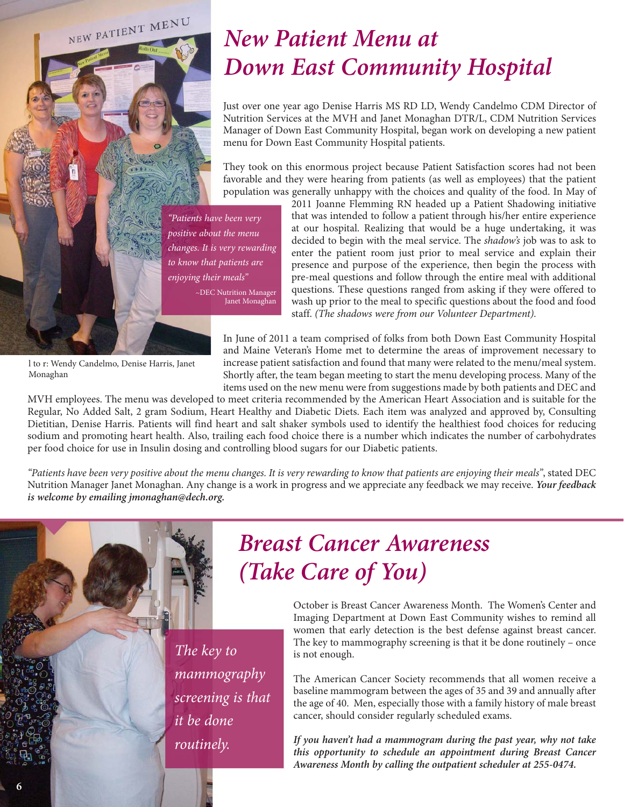NEW PATIENT MENU

## *New Patient Menu at Down East Community Hospital*

Just over one year ago Denise Harris MS RD LD, Wendy Candelmo CDM Director of Nutrition Services at the MVH and Janet Monaghan DTR/L, CDM Nutrition Services Manager of Down East Community Hospital, began work on developing a new patient menu for Down East Community Hospital patients.

They took on this enormous project because Patient Satisfaction scores had not been favorable and they were hearing from patients (as well as employees) that the patient population was generally unhappy with the choices and quality of the food. In May of

*"Patients have been very positive about the menu changes. It is very rewarding to know that patients are enjoying their meals" ~*DEC Nutrition Manager Janet Monaghan

2011 Joanne Flemming RN headed up a Patient Shadowing initiative that was intended to follow a patient through his/her entire experience at our hospital. Realizing that would be a huge undertaking, it was decided to begin with the meal service. The *shadow's* job was to ask to enter the patient room just prior to meal service and explain their presence and purpose of the experience, then begin the process with pre-meal questions and follow through the entire meal with additional questions. These questions ranged from asking if they were offered to wash up prior to the meal to specific questions about the food and food staff. *(The shadows were from our Volunteer Department).*

In June of 2011 a team comprised of folks from both Down East Community Hospital and Maine Veteran's Home met to determine the areas of improvement necessary to increase patient satisfaction and found that many were related to the menu/meal system. Shortly after, the team began meeting to start the menu developing process. Many of the items used on the new menu were from suggestions made by both patients and DEC and

MVH employees. The menu was developed to meet criteria recommended by the American Heart Association and is suitable for the Regular, No Added Salt, 2 gram Sodium, Heart Healthy and Diabetic Diets. Each item was analyzed and approved by, Consulting Dietitian, Denise Harris. Patients will find heart and salt shaker symbols used to identify the healthiest food choices for reducing sodium and promoting heart health. Also, trailing each food choice there is a number which indicates the number of carbohydrates per food choice for use in Insulin dosing and controlling blood sugars for our Diabetic patients.

*"Patients have been very positive about the menu changes. It is very rewarding to know that patients are enjoying their meals"*, stated DEC Nutrition Manager Janet Monaghan. Any change is a work in progress and we appreciate any feedback we may receive. *Your feedback is welcome by emailing jmonaghan@dech.org.* 

## *Breast Cancer Awareness (Take Care of You)*

*The key to mammography screening is that it be done routinely.*

October is Breast Cancer Awareness Month. The Women's Center and Imaging Department at Down East Community wishes to remind all women that early detection is the best defense against breast cancer. The key to mammography screening is that it be done routinely – once is not enough.

The American Cancer Society recommends that all women receive a baseline mammogram between the ages of 35 and 39 and annually after the age of 40. Men, especially those with a family history of male breast cancer, should consider regularly scheduled exams.

*If you haven't had a mammogram during the past year, why not take this opportunity to schedule an appointment during Breast Cancer Awareness Month by calling the outpatient scheduler at 255-0474.*

l to r: Wendy Candelmo, Denise Harris, Janet Monaghan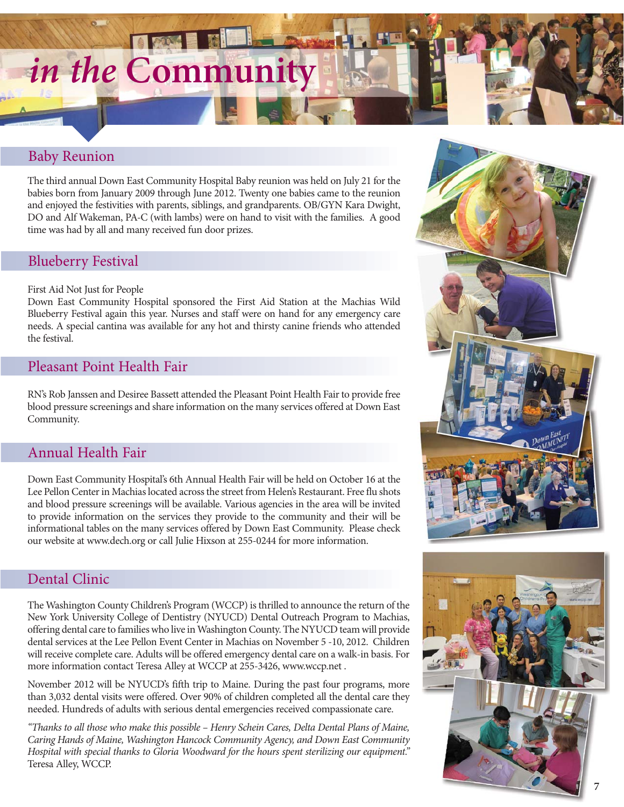# *in the* **Community**

#### Baby Reunion

The third annual Down East Community Hospital Baby reunion was held on July 21 for the babies born from January 2009 through June 2012. Twenty one babies came to the reunion and enjoyed the festivities with parents, siblings, and grandparents. OB/GYN Kara Dwight, DO and Alf Wakeman, PA-C (with lambs) were on hand to visit with the families. A good time was had by all and many received fun door prizes.

#### Blueberry Festival

#### First Aid Not Just for People

Down East Community Hospital sponsored the First Aid Station at the Machias Wild Blueberry Festival again this year. Nurses and staff were on hand for any emergency care needs. A special cantina was available for any hot and thirsty canine friends who attended the festival.

#### Pleasant Point Health Fair

RN's Rob Janssen and Desiree Bassett attended the Pleasant Point Health Fair to provide free blood pressure screenings and share information on the many services offered at Down East Community.

#### Annual Health Fair

Down East Community Hospital's 6th Annual Health Fair will be held on October 16 at the Lee Pellon Center in Machias located across the street from Helen's Restaurant. Free flu shots and blood pressure screenings will be available. Various agencies in the area will be invited to provide information on the services they provide to the community and their will be informational tables on the many services offered by Down East Community. Please check our website at www.dech.org or call Julie Hixson at 255-0244 for more information.

#### Dental Clinic

The Washington County Children's Program (WCCP) is thrilled to announce the return of the New York University College of Dentistry (NYUCD) Dental Outreach Program to Machias, offering dental care to families who live in Washington County. The NYUCD team will provide dental services at the Lee Pellon Event Center in Machias on November 5 -10, 2012. Children will receive complete care. Adults will be offered emergency dental care on a walk-in basis. For more information contact Teresa Alley at WCCP at 255-3426, www.wccp.net .

November 2012 will be NYUCD's fifth trip to Maine. During the past four programs, more than 3,032 dental visits were offered. Over 90% of children completed all the dental care they needed. Hundreds of adults with serious dental emergencies received compassionate care.

*"Thanks to all those who make this possible – Henry Schein Cares, Delta Dental Plans of Maine, Caring Hands of Maine, Washington Hancock Community Agency, and Down East Community Hospital with special thanks to Gloria Woodward for the hours spent sterilizing our equipment."* Teresa Alley, WCCP.